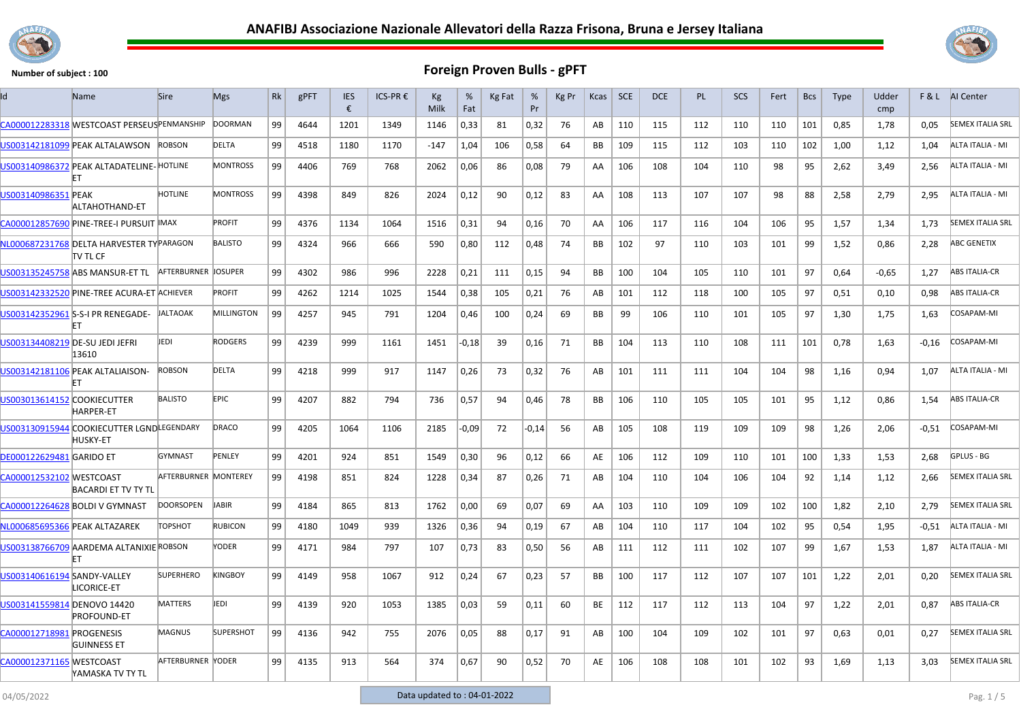



| ld                              | Name                                                         | <b>Sire</b>          | <b>Mgs</b>       | Rk | gPFT | <b>IES</b><br>€ | ICS-PR € | Кg<br>Milk | %<br>Fat | Kg Fat | %<br>Pr | Kg Pr | Kcas      | <b>SCE</b> | <b>DCE</b> | PL  | <b>SCS</b> | Fert | <b>Bcs</b> | <b>Type</b> | Udder<br>cmp |         | <b>F&amp;L</b> AI Center |
|---------------------------------|--------------------------------------------------------------|----------------------|------------------|----|------|-----------------|----------|------------|----------|--------|---------|-------|-----------|------------|------------|-----|------------|------|------------|-------------|--------------|---------|--------------------------|
|                                 | CA000012283318 WESTCOAST PERSEUSPENMANSHIP                   |                      | <b>DOORMAN</b>   | 99 | 4644 | 1201            | 1349     | 1146       | 0,33     | 81     | 0,32    | 76    | AB        | 110        | 115        | 112 | 110        | 110  | 101        | 0.85        | 1.78         | 0.05    | <b>SEMEX ITALIA SRL</b>  |
|                                 | US003142181099 PEAK ALTALAWSON                               | <b>ROBSON</b>        | DELTA            | 99 | 4518 | 1180            | 1170     | $-147$     | 1,04     | 106    | 0,58    | 64    | BB        | 109        | 115        | 112 | 103        | 110  | 102        | 1,00        | 1,12         | 1,04    | ALTA ITALIA - MI         |
|                                 | US003140986372 PEAK ALTADATELINE-HOTLINE                     |                      | <b>MONTROSS</b>  | 99 | 4406 | 769             | 768      | 2062       | 0,06     | 86     | 0,08    | 79    | AA        | 106        | 108        | 104 | 110        | 98   | 95         | 2,62        | 3,49         | 2,56    | ALTA ITALIA - MI         |
| US003140986351 PEAK             | ALTAHOTHAND-ET                                               | <b>HOTLINE</b>       | <b>MONTROSS</b>  | 99 | 4398 | 849             | 826      | 2024       | 0,12     | 90     | 0,12    | 83    | AA        | 108        | 113        | 107 | 107        | 98   | 88         | 2,58        | 2,79         | 2.95    | ALTA ITALIA - MI         |
|                                 | CA000012857690 PINE-TREE-I PURSUIT MAX                       |                      | <b>PROFIT</b>    | 99 | 4376 | 1134            | 1064     | 1516       | 0,31     | 94     | 0,16    | 70    | AA        | 106        | 117        | 116 | 104        | 106  | 95         | 1,57        | 1,34         | 1,73    | <b>SEMEX ITALIA SRL</b>  |
|                                 | NL000687231768 DELTA HARVESTER TYPARAGON<br>itv tl CF        |                      | <b>BALISTO</b>   | 99 | 4324 | 966             | 666      | 590        | 0,80     | 112    | 0,48    | 74    | <b>BB</b> | 102        | 97         | 110 | 103        | 101  | 99         | 1,52        | 0,86         | 2,28    | <b>ABC GENETIX</b>       |
|                                 | US003135245758 ABS MANSUR-ET TL                              | AFTERBURNER JOSUPER  |                  | 99 | 4302 | 986             | 996      | 2228       | 0,21     | 111    | 0,15    | 94    | BB        | 100        | 104        | 105 | 110        | 101  | 97         | 0,64        | $-0.65$      | 1,27    | <b>ABS ITALIA-CR</b>     |
|                                 | US003142332520 PINE-TREE ACURA-ET ACHIEVER                   |                      | PROFIT           | 99 | 4262 | 1214            | 1025     | 1544       | 0,38     | 105    | 0,21    | 76    | AB        | 101        | 112        | 118 | 100        | 105  | 97         | 0,51        | 0,10         | 0,98    | ABS ITALIA-CR            |
|                                 | US003142352961 S-S-I PR RENEGADE-                            | <b>JALTAOAK</b>      | MILLINGTON       | 99 | 4257 | 945             | 791      | 1204       | 0,46     | 100    | 0,24    | 69    | BB        | 99         | 106        | 110 | 101        | 105  | 97         | 1,30        | 1,75         | 1,63    | COSAPAM-MI               |
| US003134408219 DE-SU JEDI JEFRI | 13610                                                        | JEDI                 | <b>RODGERS</b>   | 99 | 4239 | 999             | 1161     | 1451       | $-0,18$  | 39     | 0,16    | 71    | <b>BB</b> | 104        | 113        | 110 | 108        | 111  | 101        | 0,78        | 1,63         | $-0,16$ | COSAPAM-MI               |
|                                 | US003142181106 PEAK ALTALIAISON-                             | <b>ROBSON</b>        | <b>DELTA</b>     | 99 | 4218 | 999             | 917      | 1147       | 0,26     | 73     | 0,32    | 76    | AB        | 101        | 111        | 111 | 104        | 104  | 98         | 1,16        | 0.94         | 1.07    | ALTA ITALIA - MI         |
| US003013614152 COOKIECUTTER     | <b>HARPER-ET</b>                                             | <b>BALISTO</b>       | <b>EPIC</b>      | 99 | 4207 | 882             | 794      | 736        | 0,57     | 94     | 0,46    | 78    | BB        | 106        | 110        | 105 | 105        | 101  | 95         | 1,12        | 0,86         | 1,54    | ABS ITALIA-CR            |
|                                 | US003130915944 COOKIECUTTER LGNDLEGENDARY<br><b>HUSKY-ET</b> |                      | DRACO            | 99 | 4205 | 1064            | 1106     | 2185       | $-0.09$  | 72     | $-0,14$ | 56    | AB        | 105        | 108        | 119 | 109        | 109  | 98         | 1,26        | 2,06         | $-0,51$ | <b>COSAPAM-MI</b>        |
| <b>DE000122629481 GARIDO ET</b> |                                                              | <b>GYMNAST</b>       | PENLEY           | 99 | 4201 | 924             | 851      | 1549       | 0,30     | 96     | 0,12    | 66    | AE        | 106        | 112        | 109 | 110        | 101  | 100        | 1,33        | 1,53         | 2,68    | GPLUS - BG               |
| CA000012532102 WESTCOAST        | <b>BACARDI ET TV TY TL</b>                                   | AFTERBURNER MONTEREY |                  | 99 | 4198 | 851             | 824      | 1228       | 0,34     | 87     | 0,26    | 71    | AB        | 104        | 110        | 104 | 106        | 104  | 92         | 1,14        | 1,12         | 2,66    | <b>SEMEX ITALIA SRL</b>  |
|                                 | CA000012264628 BOLDI V GYMNAST                               | <b>DOORSOPEN</b>     | <b>JABIR</b>     | 99 | 4184 | 865             | 813      | 1762       | 0,00     | 69     | 0,07    | 69    | AA        | 103        | 110        | 109 | 109        | 102  | 100        | 1,82        | 2,10         | 2,79    | <b>SEMEX ITALIA SRL</b>  |
| NL000685695366 PEAK ALTAZAREK   |                                                              | ТОРЅНОТ              | <b>RUBICON</b>   | 99 | 4180 | 1049            | 939      | 1326       | 0,36     | 94     | 0,19    | 67    | AB        | 104        | 110        | 117 | 104        | 102  | 95         | 0,54        | 1,95         | $-0,51$ | ALTA ITALIA - MI         |
|                                 | US003138766709 AARDEMA ALTANIXIE ROBSON                      |                      | YODER            | 99 | 4171 | 984             | 797      | 107        | 0,73     | 83     | 0,50    | 56    | AB        | 111        | 112        | 111 | 102        | 107  | 99         | 1,67        | 1,53         | 1,87    | ALTA ITALIA - MI         |
| US003140616194 SANDY-VALLEY     | LICORICE-ET                                                  | <b>SUPERHERO</b>     | KINGBOY          | 99 | 4149 | 958             | 1067     | 912        | 0,24     | 67     | 0,23    | 57    | BB        | 100        | 117        | 112 | 107        | 107  | 101        | 1,22        | 2,01         | 0,20    | <b>SEMEX ITALIA SRL</b>  |
| US003141559814 DENOVO 14420     | <b>PROFOUND-ET</b>                                           | <b>MATTERS</b>       | JEDI             | 99 | 4139 | 920             | 1053     | 1385       | 0,03     | 59     | 0,11    | 60    | <b>BE</b> | 112        | 117        | 112 | 113        | 104  | 97         | 1,22        | 2,01         | 0.87    | <b>ABS ITALIA-CR</b>     |
| CA000012718981 PROGENESIS       | <b>GUINNESS ET</b>                                           | <b>MAGNUS</b>        | <b>SUPERSHOT</b> | 99 | 4136 | 942             | 755      | 2076       | 0,05     | 88     | 0,17    | 91    | AB        | 100        | 104        | 109 | 102        | 101  | 97         | 0,63        | 0,01         | 0,27    | <b>SEMEX ITALIA SRL</b>  |
| CA000012371165 WESTCOAST        | YAMASKA TV TY TL                                             | AFTERBURNER YODER    |                  | 99 | 4135 | 913             | 564      | 374        | 0,67     | 90     | 0,52    | 70    | AE        | 106        | 108        | 108 | 101        | 102  | 93         | 1,69        | 1,13         | 3.03    | <b>SEMEX ITALIA SRL</b>  |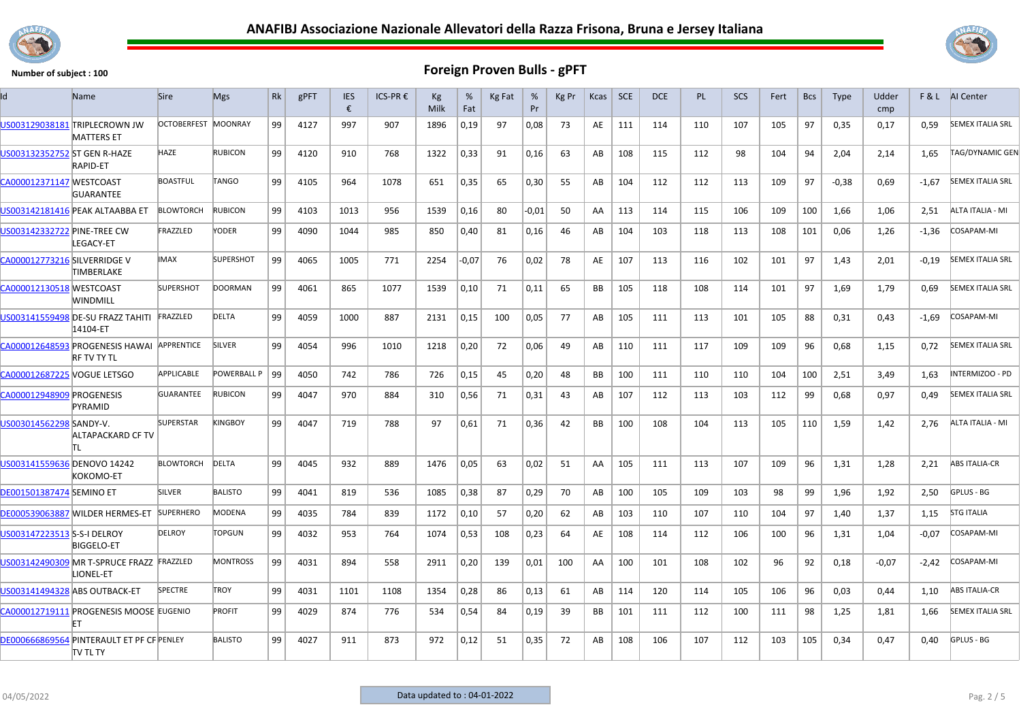



| Id                              | Name                                                          | Sire                | <b>Mgs</b>       | <b>Rk</b> | gPFT | <b>IES</b><br>€ | ICS-PR € | Кg<br>Milk | %<br>Fat | Kg Fat | %<br>Pr | Kg Pr | Kcas      | <b>SCE</b> | <b>DCE</b> | <b>PL</b> | <b>SCS</b> | Fert | <b>Bcs</b> | <b>Type</b> | Udder<br>cmp |         | <b>F&amp;L</b> AI Center |
|---------------------------------|---------------------------------------------------------------|---------------------|------------------|-----------|------|-----------------|----------|------------|----------|--------|---------|-------|-----------|------------|------------|-----------|------------|------|------------|-------------|--------------|---------|--------------------------|
|                                 | US003129038181 TRIPLECROWN JW<br><b>MATTERS ET</b>            | OCTOBERFEST MOONRAY |                  | 99        | 4127 | 997             | 907      | 1896       | 0,19     | 97     | 0,08    | 73    | AE        | 111        | 114        | 110       | 107        | 105  | 97         | 0,35        | 0.17         | 0.59    | <b>SEMEX ITALIA SRL</b>  |
| US003132352752 ST GEN R-HAZE    | <b>RAPID-ET</b>                                               | HAZE                | <b>RUBICON</b>   | 99        | 4120 | 910             | 768      | 1322       | 0,33     | 91     | 0,16    | 63    | AB        | 108        | 115        | 112       | 98         | 104  | 94         | 2,04        | 2,14         | 1,65    | <b>TAG/DYNAMIC GEN</b>   |
| CA000012371147 WESTCOAST        | <b>GUARANTEE</b>                                              | <b>BOASTFUL</b>     | TANGO            | 99        | 4105 | 964             | 1078     | 651        | 0,35     | 65     | 0,30    | 55    | AB        | 104        | 112        | 112       | 113        | 109  | 97         | $-0,38$     | 0,69         | $-1,67$ | <b>SEMEX ITALIA SRL</b>  |
|                                 | US003142181416 PEAK ALTAABBA ET                               | <b>BLOWTORCH</b>    | <b>RUBICON</b>   | 99        | 4103 | 1013            | 956      | 1539       | 0,16     | 80     | $-0.01$ | 50    | AA        | 113        | 114        | 115       | 106        | 109  | 100        | 1.66        | 1.06         | 2.51    | ALTA ITALIA - MI         |
| US003142332722 PINE-TREE CW     | LEGACY-ET                                                     | FRAZZLED            | YODER            | 99        | 4090 | 1044            | 985      | 850        | 0,40     | 81     | 0,16    | 46    | AB        | 104        | 103        | 118       | 113        | 108  | 101        | 0,06        | 1,26         | -1,36   | COSAPAM-MI               |
| CA000012773216 SILVERRIDGE V    | <b>TIMBERLAKE</b>                                             | <b>IMAX</b>         | <b>SUPERSHOT</b> | 99        | 4065 | 1005            | 771      | 2254       | $-0.07$  | 76     | 0.02    | 78    | AE        | 107        | 113        | 116       | 102        | 101  | 97         | 1,43        | 2,01         | $-0,19$ | <b>SEMEX ITALIA SRL</b>  |
| CA000012130518 WESTCOAST        | WINDMILL                                                      | <b>SUPERSHOT</b>    | <b>DOORMAN</b>   | 99        | 4061 | 865             | 1077     | 1539       | 0,10     | 71     | 0,11    | 65    | BB        | 105        | 118        | 108       | 114        | 101  | 97         | 1,69        | 1,79         | 0,69    | <b>SEMEX ITALIA SRL</b>  |
|                                 | US003141559498 DE-SU FRAZZ TAHITI<br>14104-ET                 | FRAZZLED            | <b>DELTA</b>     | 99        | 4059 | 1000            | 887      | 2131       | 0,15     | 100    | 0,05    | 77    | AB        | 105        | 111        | 113       | 101        | 105  | 88         | 0,31        | 0,43         | $-1,69$ | COSAPAM-MI               |
|                                 | CA000012648593 PROGENESIS HAWAI<br><b>RF TV TY TL</b>         | APPRENTICE          | <b>SILVER</b>    | 99        | 4054 | 996             | 1010     | 1218       | 0,20     | 72     | 0.06    | 49    | AB        | 110        | 111        | 117       | 109        | 109  | 96         | 0,68        | 1,15         | 0.72    | <b>SEMEX ITALIA SRL</b>  |
| CA000012687225 VOGUE LETSGO     |                                                               | APPLICABLE          | POWERBALL P      | 99        | 4050 | 742             | 786      | 726        | 0,15     | 45     | 0,20    | 48    | <b>BB</b> | 100        | 111        | 110       | 110        | 104  | 100        | 2.51        | 3.49         | 1,63    | INTERMIZOO - PD          |
| CA000012948909 PROGENESIS       | PYRAMID                                                       | <b>GUARANTEE</b>    | <b>RUBICON</b>   | 99        | 4047 | 970             | 884      | 310        | 0,56     | 71     | 0,31    | 43    | AB        | 107        | 112        | 113       | 103        | 112  | 99         | 0,68        | 0,97         | 0.49    | <b>SEMEX ITALIA SRL</b>  |
| US003014562298 SANDY-V.         | <b>ALTAPACKARD CF TV</b>                                      | <b>SUPERSTAR</b>    | <b>KINGBOY</b>   | 99        | 4047 | 719             | 788      | 97         | 0,61     | 71     | 0,36    | 42    | <b>BB</b> | 100        | 108        | 104       | 113        | 105  | 110        | 1,59        | 1,42         | 2,76    | ALTA ITALIA - MI         |
| US003141559636 DENOVO 14242     | KOKOMO-ET                                                     | <b>BLOWTORCH</b>    | DELTA            | 99        | 4045 | 932             | 889      | 1476       | 0,05     | 63     | 0,02    | 51    | AA        | 105        | 111        | 113       | 107        | 109  | 96         | 1,31        | 1,28         | 2,21    | <b>ABS ITALIA-CR</b>     |
| <b>DE001501387474 SEMINO ET</b> |                                                               | <b>SILVER</b>       | <b>BALISTO</b>   | 99        | 4041 | 819             | 536      | 1085       | 0,38     | 87     | 0,29    | 70    | AB        | 100        | 105        | 109       | 103        | 98   | 99         | 1,96        | 1,92         | 2,50    | GPLUS - BG               |
|                                 | DE000539063887 MILDER HERMES-ET                               | <b>SUPERHERO</b>    | MODENA           | 99        | 4035 | 784             | 839      | 1172       | 0,10     | 57     | 0,20    | 62    | AB        | 103        | 110        | 107       | 110        | 104  | 97         | 1,40        | 1,37         | 1,15    | <b>STG ITALIA</b>        |
| US003147223513 S-S-I DELROY     | <b>BIGGELO-ET</b>                                             | <b>DELROY</b>       | <b>TOPGUN</b>    | 99        | 4032 | 953             | 764      | 1074       | 0,53     | 108    | 0,23    | 64    | AE        | 108        | 114        | 112       | 106        | 100  | 96         | 1,31        | 1,04         | $-0.07$ | COSAPAM-MI               |
|                                 | US003142490309 MR T-SPRUCE FRAZZ FRAZZLED<br>LIONEL-ET        |                     | <b>MONTROSS</b>  | 99        | 4031 | 894             | 558      | 2911       | 0,20     | 139    | 0,01    | 100   | AA        | 100        | 101        | 108       | 102        | 96   | 92         | 0,18        | $-0.07$      | $-2,42$ | COSAPAM-MI               |
| US003141494328 ABS OUTBACK-ET   |                                                               | SPECTRE             | <b>TROY</b>      | 99        | 4031 | 1101            | 1108     | 1354       | 0,28     | 86     | 0,13    | 61    | AB        | 114        | 120        | 114       | 105        | 106  | 96         | 0.03        | 0.44         | 1.10    | <b>ABS ITALIA-CR</b>     |
|                                 | CA000012719111 PROGENESIS MOOSE EUGENIO<br>FT                 |                     | <b>PROFIT</b>    | 99        | 4029 | 874             | 776      | 534        | 0,54     | 84     | 0,19    | 39    | <b>BB</b> | 101        | 111        | 112       | 100        | 111  | 98         | 1,25        | 1,81         | 1,66    | <b>SEMEX ITALIA SRL</b>  |
|                                 | DE000666869564 PINTERAULT ET PF CF PENLEY<br><b>ITV TL TY</b> |                     | <b>BALISTO</b>   | 99        | 4027 | 911             | 873      | 972        | 0,12     | 51     | 0,35    | 72    | AB        | 108        | 106        | 107       | 112        | 103  | 105        | 0,34        | 0,47         | 0,40    | GPLUS - BG               |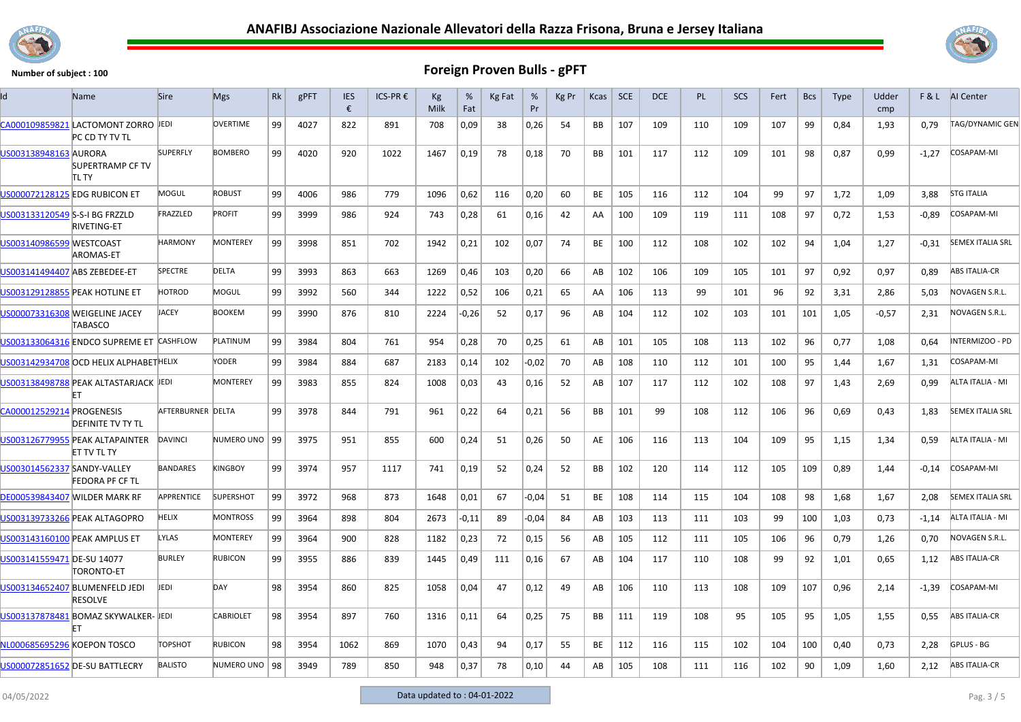



| ld                             | <b>Name</b>                                           | <b>Sire</b>       | <b>Mgs</b>       | Rk | gPFT | <b>IES</b><br>€ | ICS-PR € | Kg<br>Milk | %<br>Fat | Kg Fat | %<br>Pr | Kg Pr | Kcas      | <b>SCE</b> | <b>DCE</b> | <b>PL</b> | <b>SCS</b> | Fert | <b>Bcs</b> | <b>Type</b> | Udder<br>cmp | F&L     | <b>AI</b> Center        |
|--------------------------------|-------------------------------------------------------|-------------------|------------------|----|------|-----------------|----------|------------|----------|--------|---------|-------|-----------|------------|------------|-----------|------------|------|------------|-------------|--------------|---------|-------------------------|
|                                | CA000109859821 LACTOMONT ZORRO JEDI<br>PC CD TY TV TL |                   | <b>OVERTIME</b>  | 99 | 4027 | 822             | 891      | 708        | 0,09     | 38     | 0,26    | 54    | BB        | 107        | 109        | 110       | 109        | 107  | 99         | 0,84        | 1,93         | 0,79    | <b>TAG/DYNAMIC GEN</b>  |
| US003138948163 AURORA          | <b>SUPERTRAMP CF TV</b><br><b>ITL TY</b>              | <b>SUPERFLY</b>   | <b>BOMBERO</b>   | 99 | 4020 | 920             | 1022     | 1467       | 0,19     | 78     | 0,18    | 70    | BB        | 101        | 117        | 112       | 109        | 101  | 98         | 0,87        | 0,99         | $-1,27$ | COSAPAM-MI              |
|                                | US000072128125 EDG RUBICON ET                         | MOGUL             | <b>ROBUST</b>    | 99 | 4006 | 986             | 779      | 1096       | 0,62     | 116    | 0,20    | 60    | <b>BE</b> | 105        | 116        | 112       | 104        | 99   | 97         | 1,72        | 1,09         | 3.88    | <b>STG ITALIA</b>       |
| US003133120549 S-S-I BG FRZZLD | RIVETING-ET                                           | FRAZZLED          | <b>PROFIT</b>    | 99 | 3999 | 986             | 924      | 743        | 0,28     | 61     | 0,16    | 42    | AA        | 100        | 109        | 119       | 111        | 108  | 97         | 0,72        | 1,53         | $-0.89$ | COSAPAM-MI              |
| US003140986599 WESTCOAST       | AROMAS-ET                                             | <b>HARMONY</b>    | <b>MONTEREY</b>  | 99 | 3998 | 851             | 702      | 1942       | 0,21     | 102    | 0,07    | 74    | BE        | 100        | 112        | 108       | 102        | 102  | 94         | 1,04        | 1,27         | $-0,31$ | <b>SEMEX ITALIA SRL</b> |
| US003141494407 ABS ZEBEDEE-ET  |                                                       | SPECTRE           | <b>DELTA</b>     | 99 | 3993 | 863             | 663      | 1269       | 0,46     | 103    | 0,20    | 66    | AB        | 102        | 106        | 109       | 105        | 101  | 97         | 0,92        | 0,97         | 0.89    | <b>ABS ITALIA-CR</b>    |
|                                | US003129128855 PEAK HOTLINE ET                        | HOTROD            | MOGUL            | 99 | 3992 | 560             | 344      | 1222       | 0,52     | 106    | 0,21    | 65    | AA        | 106        | 113        | 99        | 101        | 96   | 92         | 3,31        | 2,86         | 5,03    | NOVAGEN S.R.L.          |
|                                | US000073316308 WEIGELINE JACEY<br>TABASCO             | <b>JACEY</b>      | <b>BOOKEM</b>    | 99 | 3990 | 876             | 810      | 2224       | $-0,26$  | 52     | 0,17    | 96    | AB        | 104        | 112        | 102       | 103        | 101  | 101        | 1,05        | $-0,57$      | 2,31    | NOVAGEN S.R.L.          |
|                                | US003133064316 ENDCO SUPREME ET CASHFLOW              |                   | PLATINUM         | 99 | 3984 | 804             | 761      | 954        | 0,28     | 70     | 0.25    | 61    | AB        | 101        | 105        | 108       | 113        | 102  | 96         | 0.77        | 1.08         | 0.64    | INTERMIZOO - PD         |
|                                | US003142934708 OCD HELIX ALPHABETHELIX                |                   | YODER            | 99 | 3984 | 884             | 687      | 2183       | 0,14     | 102    | -0,02   | 70    | AB        | 108        | 110        | 112       | 101        | 100  | 95         | 1,44        | 1,67         | 1,31    | COSAPAM-MI              |
|                                | US003138498788 PEAK ALTASTARJACK JEDI                 |                   | <b>MONTEREY</b>  | 99 | 3983 | 855             | 824      | 1008       | 0,03     | 43     | 0,16    | 52    | AB        | 107        | 117        | 112       | 102        | 108  | 97         | 1,43        | 2,69         | 0,99    | ALTA ITALIA - MI        |
| CA000012529214 PROGENESIS      | <b>DEFINITE TV TY TL</b>                              | AFTERBURNER DELTA |                  | 99 | 3978 | 844             | 791      | 961        | 0,22     | 64     | 0,21    | 56    | BB        | 101        | 99         | 108       | 112        | 106  | 96         | 0,69        | 0,43         | 1,83    | <b>SEMEX ITALIA SRL</b> |
|                                | US003126779955 PEAK ALTAPAINTER<br>ET TV TL TY        | <b>DAVINCI</b>    | NUMERO UNO   99  |    | 3975 | 951             | 855      | 600        | 0,24     | 51     | 0,26    | 50    | AE        | 106        | 116        | 113       | 104        | 109  | 95         | 1,15        | 1,34         | 0,59    | ALTA ITALIA - MI        |
| US003014562337 SANDY-VALLEY    | <b>FEDORA PF CF TL</b>                                | <b>BANDARES</b>   | <b>KINGBOY</b>   | 99 | 3974 | 957             | 1117     | 741        | 0,19     | 52     | 0,24    | 52    | BB        | 102        | 120        | 114       | 112        | 105  | 109        | 0,89        | 1,44         | $-0,14$ | COSAPAM-MI              |
|                                | DE000539843407 WILDER MARK RF                         | APPRENTICE        | <b>SUPERSHOT</b> | 99 | 3972 | 968             | 873      | 1648       | 0,01     | 67     | $-0.04$ | 51    | BE        | 108        | 114        | 115       | 104        | 108  | 98         | 1,68        | 1,67         | 2,08    | <b>SEMEX ITALIA SRL</b> |
|                                | US003139733266 PEAK ALTAGOPRO                         | HELIX             | <b>MONTROSS</b>  | 99 | 3964 | 898             | 804      | 2673       | -0,11    | 89     | $-0.04$ | 84    | AB        | 103        | 113        | 111       | 103        | 99   | 100        | 1,03        | 0,73         | $-1,14$ | ALTA ITALIA - MI        |
|                                | US003143160100 PEAK AMPLUS ET                         | LYLAS             | MONTEREY         | 99 | 3964 | 900             | 828      | 1182       | 0,23     | 72     | 0,15    | 56    | AB        | 105        | 112        | 111       | 105        | 106  | 96         | 0,79        | 1,26         | 0,70    | NOVAGEN S.R.L.          |
| US003141559471 DE-SU 14077     | TORONTO-ET                                            | <b>BURLEY</b>     | <b>RUBICON</b>   | 99 | 3955 | 886             | 839      | 1445       | 0,49     | 111    | 0,16    | 67    | AB        | 104        | 117        | 110       | 108        | 99   | 92         | 1,01        | 0,65         | 1,12    | <b>ABS ITALIA-CR</b>    |
|                                | US003134652407 BLUMENFELD JEDI<br><b>RESOLVE</b>      | JEDI              | DAY              | 98 | 3954 | 860             | 825      | 1058       | 0,04     | 47     | 0,12    | 49    | AB        | 106        | 110        | 113       | 108        | 109  | 107        | 0,96        | 2,14         | $-1,39$ | COSAPAM-MI              |
|                                | US003137878481 BOMAZ SKYWALKER- JEDI                  |                   | <b>CABRIOLET</b> | 98 | 3954 | 897             | 760      | 1316       | 0,11     | 64     | 0,25    | 75    | BB        | 111        | 119        | 108       | 95         | 105  | 95         | 1,05        | 1,55         | 0.55    | <b>ABS ITALIA-CR</b>    |
| NL000685695296 KOEPON TOSCO    |                                                       | <b>TOPSHOT</b>    | <b>RUBICON</b>   | 98 | 3954 | 1062            | 869      | 1070       | 0,43     | 94     | 0,17    | 55    | BE        | 112        | 116        | 115       | 102        | 104  | 100        | 0,40        | 0,73         | 2,28    | <b>GPLUS - BG</b>       |
|                                | US000072851652 DE-SU BATTLECRY                        | <b>BALISTO</b>    | NUMERO UNO   98  |    | 3949 | 789             | 850      | 948        | 0,37     | 78     | 0,10    | 44    | AB        | 105        | 108        | 111       | 116        | 102  | 90         | 1,09        | 1,60         | 2,12    | <b>ABS ITALIA-CR</b>    |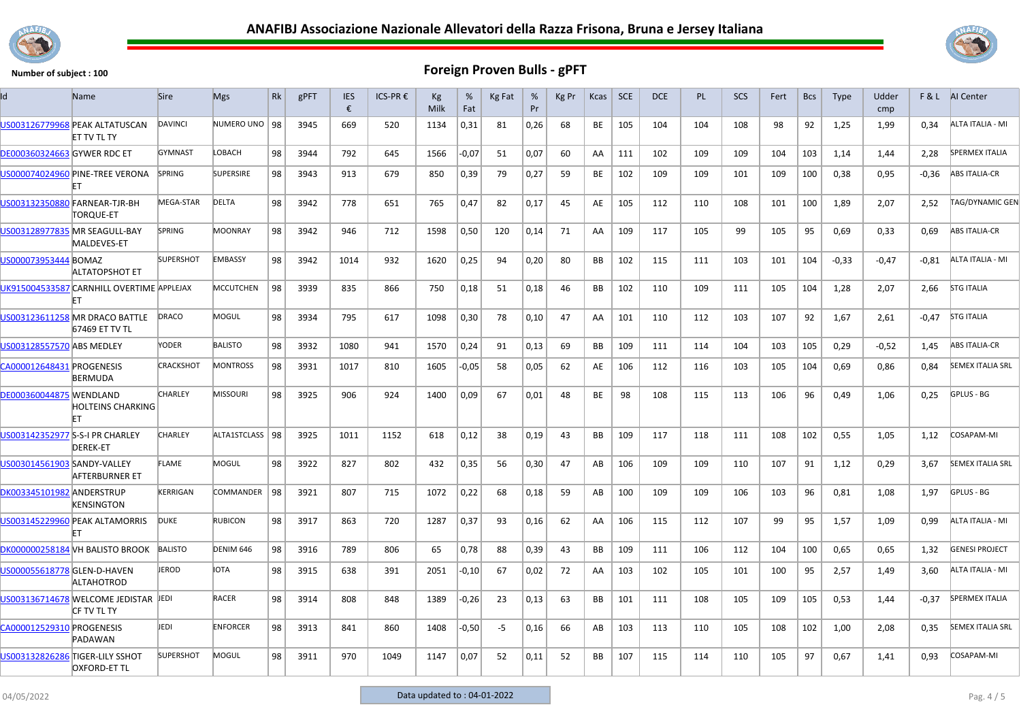



| Id                                 | <b>Name</b>                                                | <b>Sire</b>      | <b>Mgs</b>        | Rk | gPFT | <b>IES</b><br>€ | ICS-PR € | Кg<br>Milk | %<br>Fat | <b>Kg Fat</b> | %<br>Pr | Kg Pr | Kcas      | <b>SCE</b> | <b>DCE</b> | <b>PL</b> | SCS | Fert | <b>Bcs</b> | <b>Type</b> | Udder<br>cmp |         | F & L AI Center         |
|------------------------------------|------------------------------------------------------------|------------------|-------------------|----|------|-----------------|----------|------------|----------|---------------|---------|-------|-----------|------------|------------|-----------|-----|------|------------|-------------|--------------|---------|-------------------------|
|                                    | US003126779968 PEAK ALTATUSCAN<br>ET TV TL TY              | DAVINCI          | NUMERO UNO   98   |    | 3945 | 669             | 520      | 1134       | 0,31     | 81            | 0,26    | 68    | BE        | 105        | 104        | 104       | 108 | 98   | 92         | 1,25        | 1,99         | 0,34    | ALTA ITALIA - MI        |
| <b>DE000360324663 GYWER RDC ET</b> |                                                            | <b>GYMNAST</b>   | LOBACH            | 98 | 3944 | 792             | 645      | 1566       | $-0,07$  | 51            | 0,07    | 60    | AA        | 111        | 102        | 109       | 109 | 104  | 103        | 1,14        | 1,44         | 2,28    | <b>SPERMEX ITALIA</b>   |
|                                    | US000074024960 PINE-TREE VERONA                            | SPRING           | <b>SUPERSIRE</b>  | 98 | 3943 | 913             | 679      | 850        | 0,39     | 79            | 0,27    | 59    | BE        | 102        | 109        | 109       | 101 | 109  | 100        | 0,38        | 0,95         | $-0,36$ | <b>ABS ITALIA-CR</b>    |
|                                    | US003132350880 FARNEAR-TJR-BH<br>TOROUE-ET                 | MEGA-STAR        | <b>DELTA</b>      | 98 | 3942 | 778             | 651      | 765        | 0,47     | 82            | 0,17    | 45    | AE        | 105        | 112        | 110       | 108 | 101  | 100        | 1,89        | 2,07         | 2,52    | TAG/DYNAMIC GEN         |
|                                    | US003128977835 MR SEAGULL-BAY<br>MALDEVES-ET               | <b>SPRING</b>    | <b>MOONRAY</b>    | 98 | 3942 | 946             | 712      | 1598       | 0,50     | 120           | 0,14    | 71    | AA        | 109        | 117        | 105       | 99  | 105  | 95         | 0,69        | 0,33         | 0,69    | <b>ABS ITALIA-CR</b>    |
| US000073953444 BOMAZ               | <b>ALTATOPSHOT ET</b>                                      | <b>SUPERSHOT</b> | <b>EMBASSY</b>    | 98 | 3942 | 1014            | 932      | 1620       | 0,25     | 94            | 0,20    | 80    | BB        | 102        | 115        | 111       | 103 | 101  | 104        | $-0,33$     | $-0,47$      | $-0.81$ | ALTA ITALIA - MI        |
|                                    | UK915004533587 CARNHILL OVERTIME APPLEJAX<br>FT            |                  | <b>MCCUTCHEN</b>  | 98 | 3939 | 835             | 866      | 750        | 0,18     | 51            | 0,18    | 46    | <b>BB</b> | 102        | 110        | 109       | 111 | 105  | 104        | 1,28        | 2,07         | 2,66    | <b>STG ITALIA</b>       |
|                                    | US003123611258 MR DRACO BATTLE<br>67469 ET TV TL           | <b>DRACO</b>     | MOGUL             | 98 | 3934 | 795             | 617      | 1098       | 0,30     | 78            | 0,10    | 47    | AA        | 101        | 110        | 112       | 103 | 107  | 92         | 1,67        | 2,61         | $-0.47$ | <b>STG ITALIA</b>       |
| US003128557570 ABS MEDLEY          |                                                            | YODER            | <b>BALISTO</b>    | 98 | 3932 | 1080            | 941      | 1570       | 0,24     | 91            | 0,13    | 69    | BB        | 109        | 111        | 114       | 104 | 103  | 105        | 0,29        | $-0,52$      | 1,45    | <b>ABS ITALIA-CR</b>    |
| CA000012648431 PROGENESIS          | <b>BERMUDA</b>                                             | <b>CRACKSHOT</b> | <b>MONTROSS</b>   | 98 | 3931 | 1017            | 810      | 1605       | $-0,05$  | 58            | 0,05    | 62    | AE        | 106        | 112        | 116       | 103 | 105  | 104        | 0,69        | 0,86         | 0,84    | <b>SEMEX ITALIA SRL</b> |
| <b>DE000360044875 WENDLAND</b>     | <b>HOLTEINS CHARKING</b><br>lΕT                            | <b>CHARLEY</b>   | <b>MISSOURI</b>   | 98 | 3925 | 906             | 924      | 1400       | 0,09     | 67            | 0.01    | 48    | <b>BE</b> | 98         | 108        | 115       | 113 | 106  | 96         | 0,49        | 1,06         | 0,25    | GPLUS - BG              |
|                                    | US003142352977 S-S-I PR CHARLEY<br><b>DEREK-ET</b>         | <b>CHARLEY</b>   | ALTA1STCLASS   98 |    | 3925 | 1011            | 1152     | 618        | 0,12     | 38            | 0,19    | 43    | <b>BB</b> | 109        | 117        | 118       | 111 | 108  | 102        | 0,55        | 1,05         | 1,12    | COSAPAM-MI              |
|                                    | <b>AFTERBURNER ET</b>                                      | FLAME            | MOGUL             | 98 | 3922 | 827             | 802      | 432        | 0,35     | 56            | 0,30    | 47    | AB        | 106        | 109        | 109       | 110 | 107  | 91         | 1,12        | 0,29         | 3,67    | <b>SEMEX ITALIA SRL</b> |
| DK003345101982 ANDERSTRUP          | KENSINGTON                                                 | KERRIGAN         | <b>COMMANDER</b>  | 98 | 3921 | 807             | 715      | 1072       | 0,22     | 68            | 0,18    | 59    | AB        | 100        | 109        | 109       | 106 | 103  | 96         | 0,81        | 1,08         | 1,97    | GPLUS - BG              |
|                                    | US003145229960 PEAK ALTAMORRIS                             | <b>DUKE</b>      | <b>RUBICON</b>    | 98 | 3917 | 863             | 720      | 1287       | 0,37     | 93            | 0,16    | 62    | AA        | 106        | 115        | 112       | 107 | 99   | 95         | 1,57        | 1,09         | 0.99    | ALTA ITALIA - MI        |
|                                    | DK000000258184 VH BALISTO BROOK                            | <b>BALISTO</b>   | DENIM 646         | 98 | 3916 | 789             | 806      | 65         | 0,78     | 88            | 0,39    | 43    | BB        | 109        | 111        | 106       | 112 | 104  | 100        | 0,65        | 0,65         | 1,32    | <b>GENESI PROJECT</b>   |
| US000055618778 GLEN-D-HAVEN        | <b>ALTAHOTROD</b>                                          | <b>JEROD</b>     | <b>IOTA</b>       | 98 | 3915 | 638             | 391      | 2051       | $-0,10$  | 67            | 0,02    | 72    | AA        | 103        | 102        | 105       | 101 | 100  | 95         | 2,57        | 1,49         | 3,60    | ALTA ITALIA - MI        |
|                                    | US003136714678 WELCOME JEDISTAR JEDI<br><b>CF TV TL TY</b> |                  | <b>RACER</b>      | 98 | 3914 | 808             | 848      | 1389       | $-0,26$  | 23            | 0,13    | 63    | <b>BB</b> | 101        | 111        | 108       | 105 | 109  | 105        | 0,53        | 1,44         | $-0,37$ | <b>SPERMEX ITALIA</b>   |
| CA000012529310 PROGENESIS          | PADAWAN                                                    | JEDI             | <b>ENFORCER</b>   | 98 | 3913 | 841             | 860      | 1408       | $-0,50$  | $-5$          | 0,16    | 66    | AB        | 103        | 113        | 110       | 105 | 108  | 102        | 1,00        | 2,08         | 0,35    | <b>SEMEX ITALIA SRL</b> |
|                                    | US003132826286 TIGER-LILY SSHOT<br><b>OXFORD-ET TL</b>     | <b>SUPERSHOT</b> | MOGUL             | 98 | 3911 | 970             | 1049     | 1147       | 0,07     | 52            | 0,11    | 52    | BB        | 107        | 115        | 114       | 110 | 105  | 97         | 0,67        | 1,41         | 0.93    | COSAPAM-MI              |